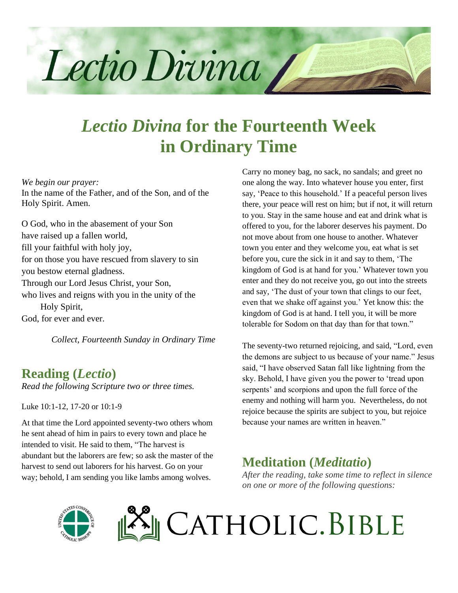

# *Lectio Divina* **for the Fourteenth Week in Ordinary Time**

*We begin our prayer:*

In the name of the Father, and of the Son, and of the Holy Spirit. Amen.

O God, who in the abasement of your Son have raised up a fallen world, fill your faithful with holy joy, for on those you have rescued from slavery to sin you bestow eternal gladness. Through our Lord Jesus Christ, your Son, who lives and reigns with you in the unity of the Holy Spirit, God, for ever and ever.

*Collect, Fourteenth Sunday in Ordinary Time*

### **Reading (***Lectio***)**

*Read the following Scripture two or three times.*

Luke 10:1-12, 17-20 or 10:1-9

At that time the Lord appointed seventy-two others whom he sent ahead of him in pairs to every town and place he intended to visit. He said to them, "The harvest is abundant but the laborers are few; so ask the master of the harvest to send out laborers for his harvest. Go on your way; behold, I am sending you like lambs among wolves.

Carry no money bag, no sack, no sandals; and greet no one along the way. Into whatever house you enter, first say, 'Peace to this household.' If a peaceful person lives there, your peace will rest on him; but if not, it will return to you. Stay in the same house and eat and drink what is offered to you, for the laborer deserves his payment. Do not move about from one house to another. Whatever town you enter and they welcome you, eat what is set before you, cure the sick in it and say to them, 'The kingdom of God is at hand for you.' Whatever town you enter and they do not receive you, go out into the streets and say, 'The dust of your town that clings to our feet, even that we shake off against you.' Yet know this: the kingdom of God is at hand. I tell you, it will be more tolerable for Sodom on that day than for that town."

The seventy-two returned rejoicing, and said, "Lord, even the demons are subject to us because of your name." Jesus said, "I have observed Satan fall like lightning from the sky. Behold, I have given you the power to 'tread upon serpents' and scorpions and upon the full force of the enemy and nothing will harm you. Nevertheless, do not rejoice because the spirits are subject to you, but rejoice because your names are written in heaven."

# **Meditation (***Meditatio***)**

*After the reading, take some time to reflect in silence on one or more of the following questions:*